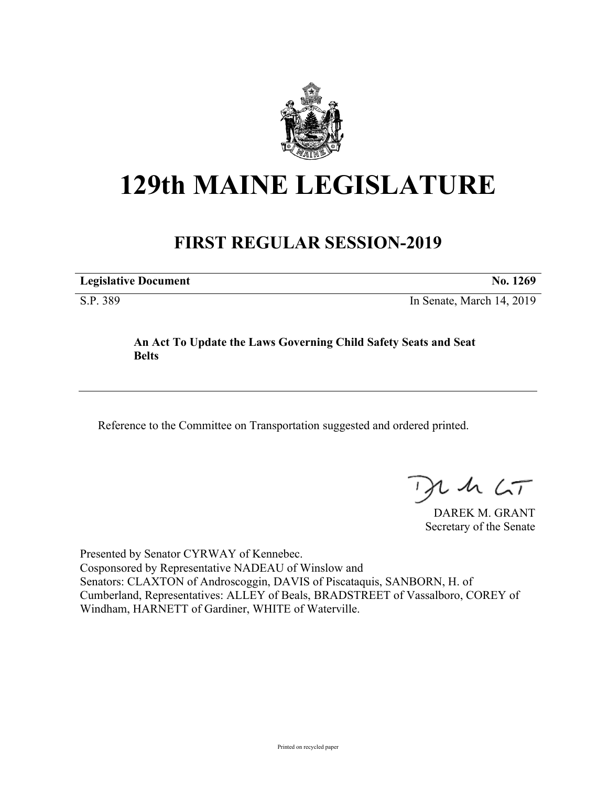

## **129th MAINE LEGISLATURE**

## **FIRST REGULAR SESSION-2019**

**Legislative Document No. 1269**

S.P. 389 In Senate, March 14, 2019

## **An Act To Update the Laws Governing Child Safety Seats and Seat Belts**

Reference to the Committee on Transportation suggested and ordered printed.

 $1157$ 

DAREK M. GRANT Secretary of the Senate

Presented by Senator CYRWAY of Kennebec. Cosponsored by Representative NADEAU of Winslow and Senators: CLAXTON of Androscoggin, DAVIS of Piscataquis, SANBORN, H. of Cumberland, Representatives: ALLEY of Beals, BRADSTREET of Vassalboro, COREY of Windham, HARNETT of Gardiner, WHITE of Waterville.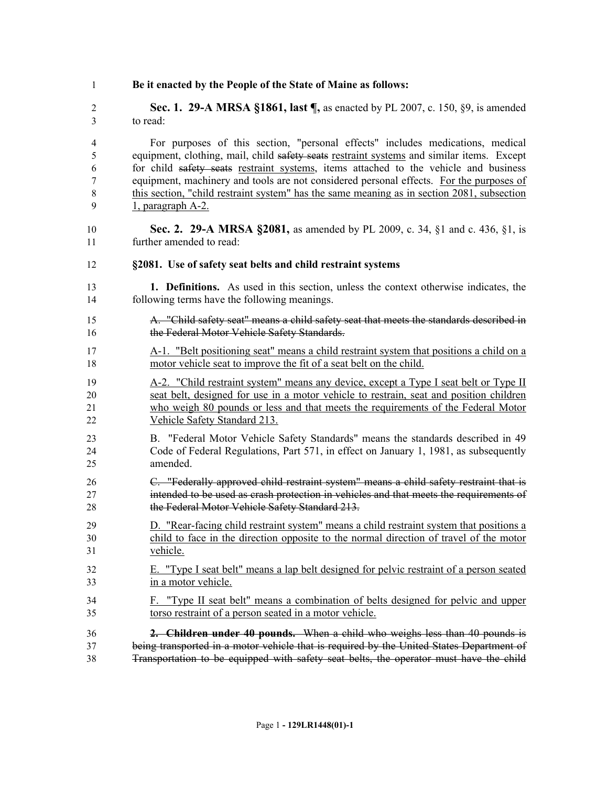| Be it enacted by the People of the State of Maine as follows: |
|---------------------------------------------------------------|
|                                                               |

 **Sec. 1. 29-A MRSA §1861, last ¶,** as enacted by PL 2007, c. 150, §9, is amended to read:

 For purposes of this section, "personal effects" includes medications, medical equipment, clothing, mail, child safety seats restraint systems and similar items. Except for child safety seats restraint systems, items attached to the vehicle and business equipment, machinery and tools are not considered personal effects. For the purposes of 8 this section, "child restraint system" has the same meaning as in section 2081, subsection 1, paragraph A-2.

- **Sec. 2. 29-A MRSA §2081,** as amended by PL 2009, c. 34, §1 and c. 436, §1, is further amended to read:
- **§2081. Use of safety seat belts and child restraint systems**
- **1. Definitions.** As used in this section, unless the context otherwise indicates, the following terms have the following meanings.
- A. "Child safety seat" means a child safety seat that meets the standards described in 16 the Federal Motor Vehicle Safety Standards.
- A-1. "Belt positioning seat" means a child restraint system that positions a child on a motor vehicle seat to improve the fit of a seat belt on the child.
- 19 A-2. "Child restraint system" means any device, except a Type I seat belt or Type II seat belt, designed for use in a motor vehicle to restrain, seat and position children who weigh 80 pounds or less and that meets the requirements of the Federal Motor Vehicle Safety Standard 213.
- B. "Federal Motor Vehicle Safety Standards" means the standards described in 49 Code of Federal Regulations, Part 571, in effect on January 1, 1981, as subsequently amended.
- C. "Federally approved child restraint system" means a child safety restraint that is intended to be used as crash protection in vehicles and that meets the requirements of 28 the Federal Motor Vehicle Safety Standard 213.
- D. "Rear-facing child restraint system" means a child restraint system that positions a child to face in the direction opposite to the normal direction of travel of the motor vehicle.
- E. "Type I seat belt" means a lap belt designed for pelvic restraint of a person seated in a motor vehicle.
- F. "Type II seat belt" means a combination of belts designed for pelvic and upper torso restraint of a person seated in a motor vehicle.
- **2. Children under 40 pounds.** When a child who weighs less than 40 pounds is being transported in a motor vehicle that is required by the United States Department of Transportation to be equipped with safety seat belts, the operator must have the child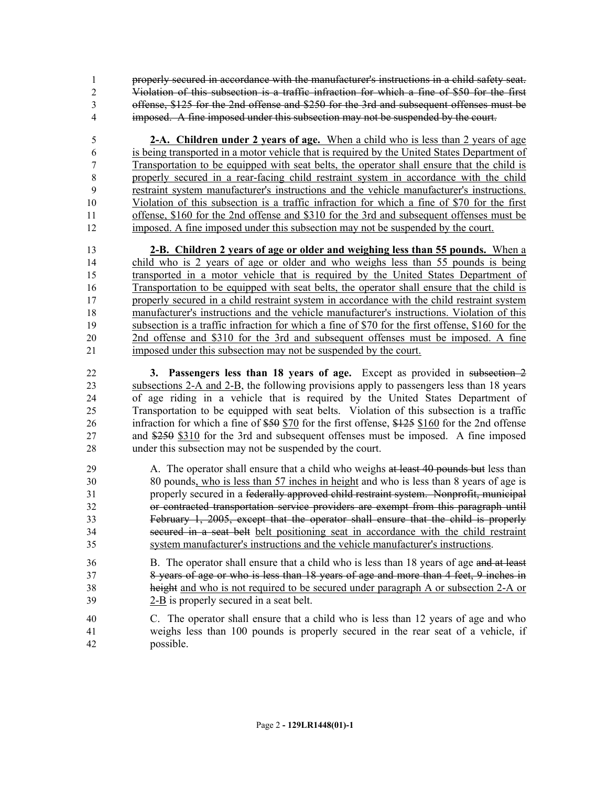properly secured in accordance with the manufacturer's instructions in a child safety seat. Violation of this subsection is a traffic infraction for which a fine of \$50 for the first offense, \$125 for the 2nd offense and \$250 for the 3rd and subsequent offenses must be imposed. A fine imposed under this subsection may not be suspended by the court.

 **2-A. Children under 2 years of age.** When a child who is less than 2 years of age is being transported in a motor vehicle that is required by the United States Department of Transportation to be equipped with seat belts, the operator shall ensure that the child is properly secured in a rear-facing child restraint system in accordance with the child restraint system manufacturer's instructions and the vehicle manufacturer's instructions. Violation of this subsection is a traffic infraction for which a fine of \$70 for the first offense, \$160 for the 2nd offense and \$310 for the 3rd and subsequent offenses must be imposed. A fine imposed under this subsection may not be suspended by the court.

 **2-B. Children 2 years of age or older and weighing less than 55 pounds.** When a child who is 2 years of age or older and who weighs less than 55 pounds is being transported in a motor vehicle that is required by the United States Department of Transportation to be equipped with seat belts, the operator shall ensure that the child is properly secured in a child restraint system in accordance with the child restraint system manufacturer's instructions and the vehicle manufacturer's instructions. Violation of this subsection is a traffic infraction for which a fine of \$70 for the first offense, \$160 for the 2nd offense and \$310 for the 3rd and subsequent offenses must be imposed. A fine imposed under this subsection may not be suspended by the court.

 **3. Passengers less than 18 years of age.** Except as provided in subsection 2 subsections 2-A and 2-B, the following provisions apply to passengers less than 18 years of age riding in a vehicle that is required by the United States Department of Transportation to be equipped with seat belts. Violation of this subsection is a traffic 26 infraction for which a fine of \$50 \$70 for the first offense, \$125 \$160 for the 2nd offense and \$250 \$310 for the 3rd and subsequent offenses must be imposed. A fine imposed under this subsection may not be suspended by the court.

- 29 A. The operator shall ensure that a child who weighs at least 40 pounds but less than 80 pounds, who is less than 57 inches in height and who is less than 8 years of age is properly secured in a federally approved child restraint system. Nonprofit, municipal or contracted transportation service providers are exempt from this paragraph until February 1, 2005, except that the operator shall ensure that the child is properly secured in a seat belt belt positioning seat in accordance with the child restraint system manufacturer's instructions and the vehicle manufacturer's instructions.
- B. The operator shall ensure that a child who is less than 18 years of age and at least 8 years of age or who is less than 18 years of age and more than 4 feet, 9 inches in height and who is not required to be secured under paragraph A or subsection 2-A or 2-B is properly secured in a seat belt.
- C. The operator shall ensure that a child who is less than 12 years of age and who weighs less than 100 pounds is properly secured in the rear seat of a vehicle, if possible.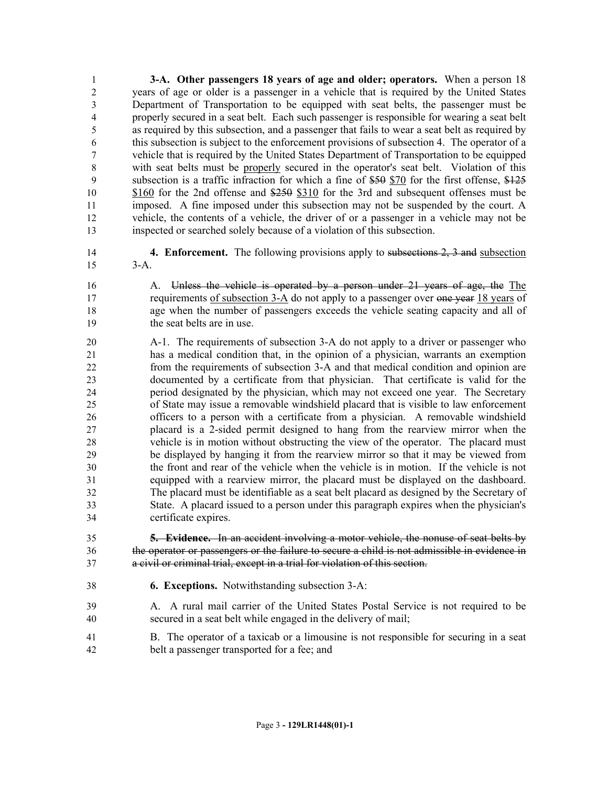**3-A. Other passengers 18 years of age and older; operators.** When a person 18 years of age or older is a passenger in a vehicle that is required by the United States Department of Transportation to be equipped with seat belts, the passenger must be properly secured in a seat belt. Each such passenger is responsible for wearing a seat belt as required by this subsection, and a passenger that fails to wear a seat belt as required by this subsection is subject to the enforcement provisions of subsection 4. The operator of a vehicle that is required by the United States Department of Transportation to be equipped with seat belts must be properly secured in the operator's seat belt. Violation of this subsection is a traffic infraction for which a fine of \$50 \$70 for the first offense, \$125 \$160 for the 2nd offense and \$250 \$310 for the 3rd and subsequent offenses must be imposed. A fine imposed under this subsection may not be suspended by the court. A vehicle, the contents of a vehicle, the driver of or a passenger in a vehicle may not be inspected or searched solely because of a violation of this subsection.

- **4. Enforcement.** The following provisions apply to subsections 2, 3 and subsection 3-A.
- A. Unless the vehicle is operated by a person under 21 years of age, the The 17 requirements of subsection 3-A do not apply to a passenger over one year 18 years of age when the number of passengers exceeds the vehicle seating capacity and all of the seat belts are in use.
- A-1. The requirements of subsection 3-A do not apply to a driver or passenger who has a medical condition that, in the opinion of a physician, warrants an exemption from the requirements of subsection 3-A and that medical condition and opinion are documented by a certificate from that physician. That certificate is valid for the period designated by the physician, which may not exceed one year. The Secretary of State may issue a removable windshield placard that is visible to law enforcement officers to a person with a certificate from a physician. A removable windshield placard is a 2-sided permit designed to hang from the rearview mirror when the vehicle is in motion without obstructing the view of the operator. The placard must be displayed by hanging it from the rearview mirror so that it may be viewed from the front and rear of the vehicle when the vehicle is in motion. If the vehicle is not equipped with a rearview mirror, the placard must be displayed on the dashboard. The placard must be identifiable as a seat belt placard as designed by the Secretary of State. A placard issued to a person under this paragraph expires when the physician's certificate expires.
- **5. Evidence.** In an accident involving a motor vehicle, the nonuse of seat belts by the operator or passengers or the failure to secure a child is not admissible in evidence in a civil or criminal trial, except in a trial for violation of this section.
- **6. Exceptions.** Notwithstanding subsection 3-A:
- A. A rural mail carrier of the United States Postal Service is not required to be secured in a seat belt while engaged in the delivery of mail;
- B. The operator of a taxicab or a limousine is not responsible for securing in a seat belt a passenger transported for a fee; and